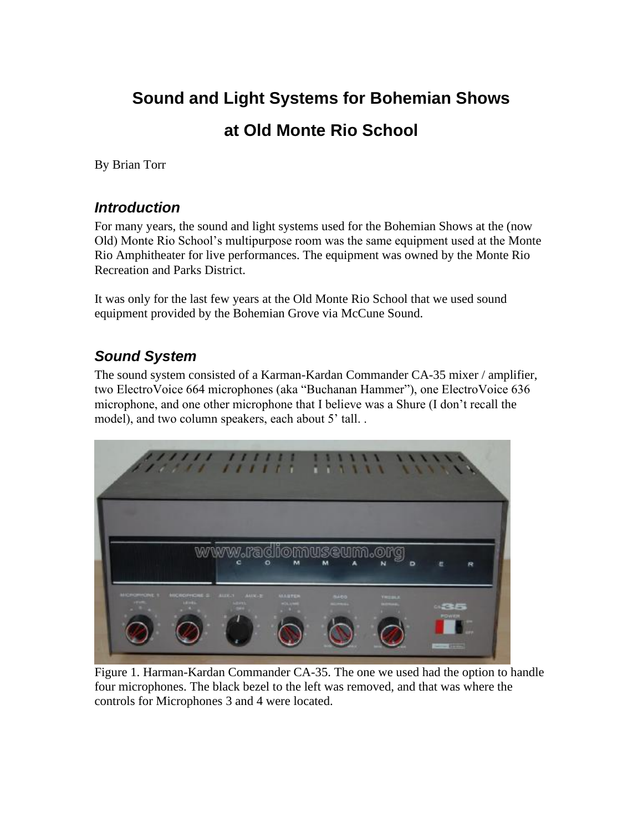# **Sound and Light Systems for Bohemian Shows at Old Monte Rio School**

By Brian Torr

#### *Introduction*

For many years, the sound and light systems used for the Bohemian Shows at the (now Old) Monte Rio School's multipurpose room was the same equipment used at the Monte Rio Amphitheater for live performances. The equipment was owned by the Monte Rio Recreation and Parks District.

It was only for the last few years at the Old Monte Rio School that we used sound equipment provided by the Bohemian Grove via McCune Sound.

### *Sound System*

The sound system consisted of a Karman-Kardan Commander CA-35 mixer / amplifier, two ElectroVoice 664 microphones (aka "Buchanan Hammer"), one ElectroVoice 636 microphone, and one other microphone that I believe was a Shure (I don't recall the model), and two column speakers, each about 5' tall..



Figure 1. Harman-Kardan Commander CA-35. The one we used had the option to handle four microphones. The black bezel to the left was removed, and that was where the controls for Microphones 3 and 4 were located.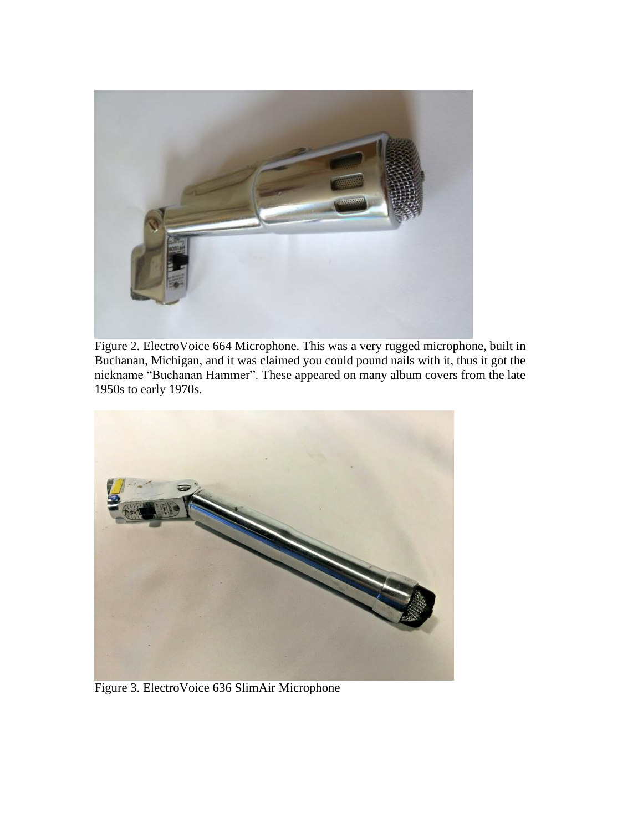

Figure 2. ElectroVoice 664 Microphone. This was a very rugged microphone, built in Buchanan, Michigan, and it was claimed you could pound nails with it, thus it got the nickname "Buchanan Hammer". These appeared on many album covers from the late 1950s to early 1970s.



Figure 3. ElectroVoice 636 SlimAir Microphone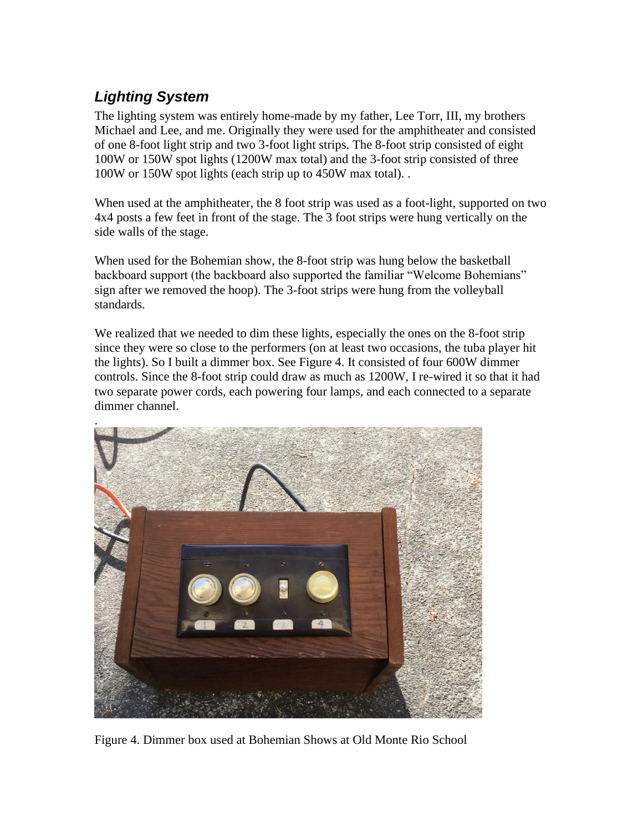## *Lighting System*

The lighting system was entirely home-made by my father, Lee Torr, III, my brothers Michael and Lee, and me. Originally they were used for the amphitheater and consisted of one 8-foot light strip and two 3-foot light strips. The 8-foot strip consisted of eight 100W or 150W spot lights (1200W max total) and the 3-foot strip consisted of three 100W or 150W spot lights (each strip up to 450W max total). .

When used at the amphitheater, the 8 foot strip was used as a foot-light, supported on two 4x4 posts a few feet in front of the stage. The 3 foot strips were hung vertically on the side walls of the stage.

When used for the Bohemian show, the 8-foot strip was hung below the basketball backboard support (the backboard also supported the familiar "Welcome Bohemians" sign after we removed the hoop). The 3-foot strips were hung from the volleyball standards.

We realized that we needed to dim these lights, especially the ones on the 8-foot strip since they were so close to the performers (on at least two occasions, the tuba player hit the lights). So I built a dimmer box. See Figure 4. It consisted of four 600W dimmer controls. Since the 8-foot strip could draw as much as 1200W, I re-wired it so that it had two separate power cords, each powering four lamps, and each connected to a separate dimmer channel.



Figure 4. Dimmer box used at Bohemian Shows at Old Monte Rio School